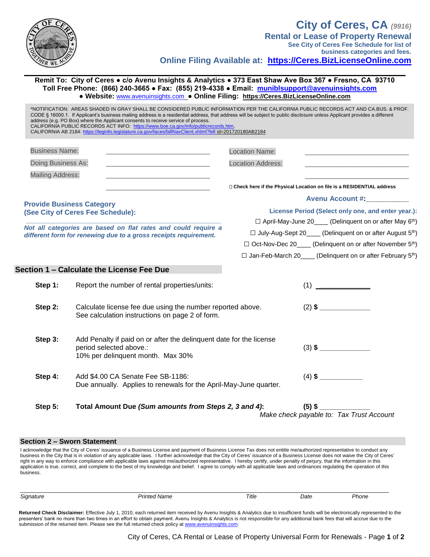

**business categories and fees. Online Filing Available at: [https://Ceres.BizLicenseOnline.com](https://ceres.bizlicenseonline.com/)**

**Remit To: City of Ceres ● c/o Avenu Insights & Analytics ● 373 East Shaw Ave Box 367 ● Fresno, CA 93710 Toll Free Phone: (866) 240-3665 ● Fax: (855) 219-4338 ● Email: [muniblsupport@avenuinsights.com](mailto:muniblsupport@avenuinsights.com) ● Website:** [www.avenuinsights.com](http://www.avenuinsights.com/) **● Online Filing: [https://Ceres.BizLicenseOnline.com](https://ceres.bizlicenseonline.com/)**

| <b>Business Name:</b>   | the control of the control of the control of the control of the control of                                                          | <b>Location Name:</b>                                                   |                                                                                |  |
|-------------------------|-------------------------------------------------------------------------------------------------------------------------------------|-------------------------------------------------------------------------|--------------------------------------------------------------------------------|--|
| Doing Business As:      |                                                                                                                                     | <b>Location Address:</b>                                                |                                                                                |  |
| <b>Mailing Address:</b> | <u> 1980 - Jan James James Jan James James James James James James James James James James James James James Jam</u>                |                                                                         |                                                                                |  |
|                         |                                                                                                                                     |                                                                         | □ Check here if the Physical Location on file is a RESIDENTIAL address         |  |
|                         | <b>Provide Business Category</b>                                                                                                    |                                                                         | <b>Avenu Account #</b>                                                         |  |
|                         | (See City of Ceres Fee Schedule):                                                                                                   | License Period (Select only one, and enter year.):                      |                                                                                |  |
|                         |                                                                                                                                     |                                                                         | □ April-May-June 20____ (Delinquent on or after May 6 <sup>th</sup> )          |  |
|                         | Not all categories are based on flat rates and could require a<br>different form for renewing due to a gross receipts requirement.  | □ July-Aug-Sept 20____ (Delinquent on or after August 5 <sup>th</sup> ) |                                                                                |  |
|                         |                                                                                                                                     |                                                                         | □ Oct-Nov-Dec 20____ (Delinquent on or after November 5 <sup>th</sup> )        |  |
|                         |                                                                                                                                     |                                                                         | $\Box$ Jan-Feb-March 20____ (Delinquent on or after February 5 <sup>th</sup> ) |  |
|                         | Section 1 - Calculate the License Fee Due                                                                                           |                                                                         |                                                                                |  |
|                         |                                                                                                                                     |                                                                         |                                                                                |  |
| Step 1:                 | Report the number of rental properties/units:                                                                                       |                                                                         | (1)                                                                            |  |
| Step 2:                 | Calculate license fee due using the number reported above.<br>See calculation instructions on page 2 of form.                       |                                                                         | $(2)$ \$                                                                       |  |
| Step 3:                 | Add Penalty if paid on or after the delinquent date for the license<br>period selected above.:<br>10% per delinquent month. Max 30% |                                                                         | $(3)$ \$                                                                       |  |
| Step 4:                 | Add \$4.00 CA Senate Fee SB-1186:<br>Due annually. Applies to renewals for the April-May-June quarter.                              |                                                                         |                                                                                |  |
| Step 5:                 | Total Amount Due (Sum amounts from Steps 2, 3 and 4):                                                                               |                                                                         | $(5)$ \$                                                                       |  |

## **Section 2 – Sworn Statement**

I acknowledge that the City of Ceres' issuance of a Business License and payment of Business License Tax does not entitle me/authorized representative to conduct any business in the City that is in violation of any applicable laws. I further acknowledge that the City of Ceres' issuance of a Business License does not waive the City of Ceres' right in any way to enforce compliance with applicable laws against me/authorized representative. I hereby certify, under penalty of perjury, that the information in this application is true, correct, and complete to the best of my knowledge and belief. I agree to comply with all applicable laws and ordinances regulating the operation of this business.

| Signature | <b>Printed Name</b> | Title | Date | Phone |
|-----------|---------------------|-------|------|-------|
|           |                     |       |      |       |

Returned Check Disclaimer: Effective July 1, 2010, each returned item received by Avenu Insights & Analytics due to insufficient funds will be electronically represented to the presenters' bank no more than two times in an effort to obtain payment. Avenu Insights & Analytics is not responsible for any additional bank fees that will accrue due to the submission of the returned item. Please see the full returned check policy a[t www.avenuinsights.com.](http://www.avenuinsights.com/)